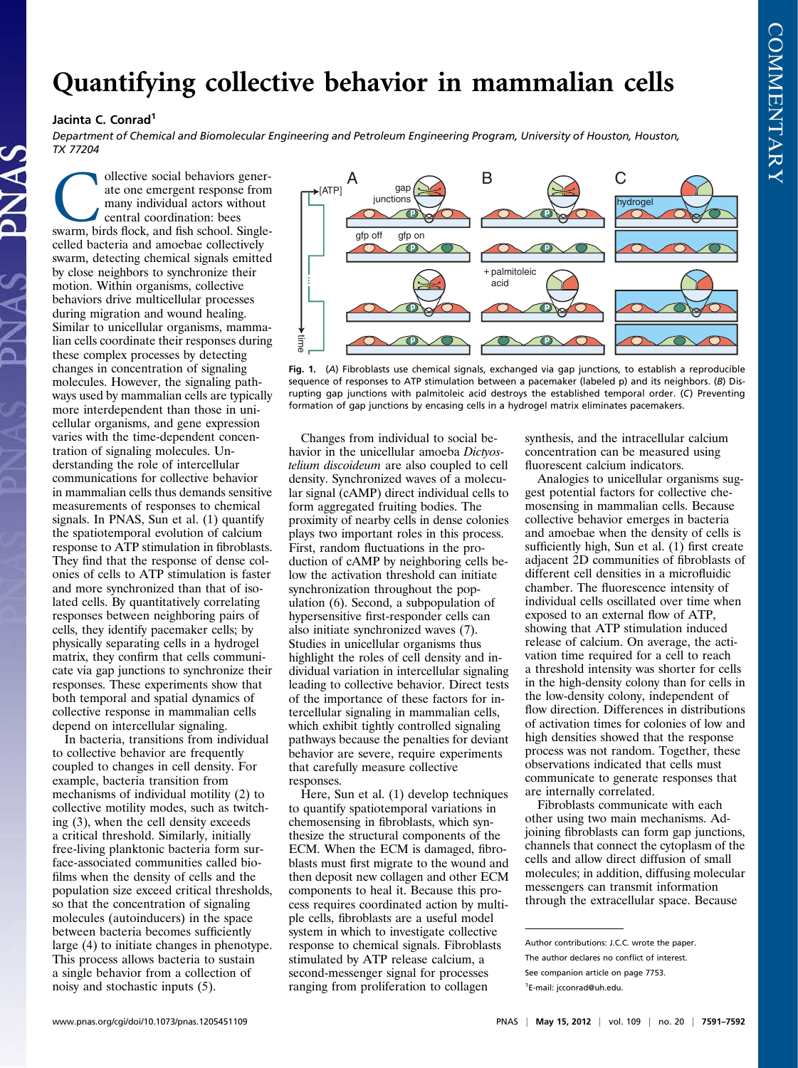## Quantifying collective behavior in mammalian cells

## Jacinta C. Conrad<sup>1</sup>

Department of Chemical and Biomolecular Engineering and Petroleum Engineering Program, University of Houston, Houston, TX 77204

Ollective social behaviors generate one emergent response from many individual actors without central coordination: bees swarm, birds flock, and fish school. Singleate one emergent response from many individual actors without central coordination: bees celled bacteria and amoebae collectively swarm, detecting chemical signals emitted by close neighbors to synchronize their motion. Within organisms, collective behaviors drive multicellular processes during migration and wound healing. Similar to unicellular organisms, mammalian cells coordinate their responses during these complex processes by detecting changes in concentration of signaling molecules. However, the signaling pathways used by mammalian cells are typically more interdependent than those in unicellular organisms, and gene expression varies with the time-dependent concentration of signaling molecules. Understanding the role of intercellular communications for collective behavior in mammalian cells thus demands sensitive measurements of responses to chemical signals. In PNAS, Sun et al. (1) quantify the spatiotemporal evolution of calcium response to ATP stimulation in fibroblasts. They find that the response of dense colonies of cells to ATP stimulation is faster and more synchronized than that of isolated cells. By quantitatively correlating responses between neighboring pairs of cells, they identify pacemaker cells; by physically separating cells in a hydrogel matrix, they confirm that cells communicate via gap junctions to synchronize their responses. These experiments show that both temporal and spatial dynamics of collective response in mammalian cells depend on intercellular signaling.

In bacteria, transitions from individual to collective behavior are frequently coupled to changes in cell density. For example, bacteria transition from mechanisms of individual motility (2) to collective motility modes, such as twitching (3), when the cell density exceeds a critical threshold. Similarly, initially free-living planktonic bacteria form surface-associated communities called biofilms when the density of cells and the population size exceed critical thresholds, so that the concentration of signaling molecules (autoinducers) in the space between bacteria becomes sufficiently large (4) to initiate changes in phenotype. This process allows bacteria to sustain a single behavior from a collection of noisy and stochastic inputs (5).



Fig. 1. (A) Fibroblasts use chemical signals, exchanged via gap junctions, to establish a reproducible sequence of responses to ATP stimulation between a pacemaker (labeled p) and its neighbors. (B) Disrupting gap junctions with palmitoleic acid destroys the established temporal order. (C) Preventing formation of gap junctions by encasing cells in a hydrogel matrix eliminates pacemakers.

Changes from individual to social behavior in the unicellular amoeba Dictyostelium discoideum are also coupled to cell density. Synchronized waves of a molecular signal (cAMP) direct individual cells to form aggregated fruiting bodies. The proximity of nearby cells in dense colonies plays two important roles in this process. First, random fluctuations in the production of cAMP by neighboring cells below the activation threshold can initiate synchronization throughout the population (6). Second, a subpopulation of hypersensitive first-responder cells can also initiate synchronized waves (7). Studies in unicellular organisms thus highlight the roles of cell density and individual variation in intercellular signaling leading to collective behavior. Direct tests of the importance of these factors for intercellular signaling in mammalian cells, which exhibit tightly controlled signaling pathways because the penalties for deviant behavior are severe, require experiments that carefully measure collective responses.

Here, Sun et al. (1) develop techniques to quantify spatiotemporal variations in chemosensing in fibroblasts, which synthesize the structural components of the ECM. When the ECM is damaged, fibroblasts must first migrate to the wound and then deposit new collagen and other ECM components to heal it. Because this process requires coordinated action by multiple cells, fibroblasts are a useful model system in which to investigate collective response to chemical signals. Fibroblasts stimulated by ATP release calcium, a second-messenger signal for processes ranging from proliferation to collagen

synthesis, and the intracellular calcium concentration can be measured using fluorescent calcium indicators.

Analogies to unicellular organisms suggest potential factors for collective chemosensing in mammalian cells. Because collective behavior emerges in bacteria and amoebae when the density of cells is sufficiently high, Sun et al. (1) first create adjacent 2D communities of fibroblasts of different cell densities in a microfluidic chamber. The fluorescence intensity of individual cells oscillated over time when exposed to an external flow of ATP, showing that ATP stimulation induced release of calcium. On average, the activation time required for a cell to reach a threshold intensity was shorter for cells in the high-density colony than for cells in the low-density colony, independent of flow direction. Differences in distributions of activation times for colonies of low and high densities showed that the response process was not random. Together, these observations indicated that cells must communicate to generate responses that are internally correlated.

Fibroblasts communicate with each other using two main mechanisms. Adjoining fibroblasts can form gap junctions, channels that connect the cytoplasm of the cells and allow direct diffusion of small molecules; in addition, diffusing molecular messengers can transmit information through the extracellular space. Because

Author contributions: J.C.C. wrote the paper. The author declares no conflict of interest. See companion article on page 7753.